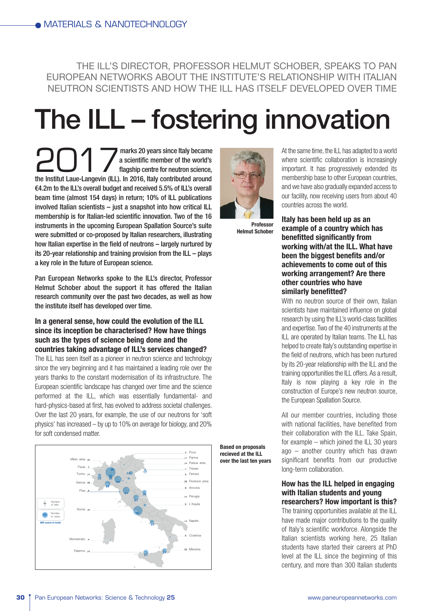THE ILL'S DIRECTOR, PROFESSOR HELMUT SCHOBER, SPEAKS TO PAN EUROPEAN NETWORKS ABOUT THE INSTITUTE'S RELATIONSHIP WITH ITALIAN NEUTRON SCIENTISTS AND HOW THE ILL HAS ITSELF DEVELOPED OVER TIME

# The ILL – fostering innovation

**2017** marks 20 years since Italy became<br>a scientific member of the world's<br>flagship centre for neutron science,<br>€4.2m to the ILL's overall budget and received 5.5% of ILL's overall<br>beam time (almost 154 days) in return; a scientific member of the world's flagship centre for neutron science, the Institut Laue-Langevin (ILL). In 2016, Italy contributed around €4.2m to the ILL's overall budget and received 5.5% of ILL's overall beam time (almost 154 days) in return; 10% of ILL publications involved Italian scientists – just a snapshot into how critical ILL membership is for Italian-led scientific innovation. Two of the 16 instruments in the upcoming European Spallation Source's suite were submitted or co-proposed by Italian researchers, illustrating how Italian expertise in the field of neutrons – largely nurtured by its 20-year relationship and training provision from the ILL – plays a key role in the future of European science.

Pan European Networks spoke to the ILL's director, Professor Helmut Schober about the support it has offered the Italian research community over the past two decades, as well as how the institute itself has developed over time.

# **In a general sense, how could the evolution of the ILL since its inception be characterised? How have things such as the types of science being done and the countries taking advantage of ILL's services changed?**

The ILL has seen itself as a pioneer in neutron science and technology since the very beginning and it has maintained a leading role over the years thanks to the constant modernisation of its infrastructure. The European scientific landscape has changed over time and the science performed at the ILL, which was essentially fundamental- and hard-physics-based at first, has evolved to address societal challenges. Over the last 20 years, for example, the use of our neutrons for 'soft physics' has increased – by up to 10% on average for biology, and 20% for soft condensed matter.





**Professor Helmut Schober**

**Based on proposals recieved at the ILL over the last ten years** At the same time, the ILL has adapted to a world where scientific collaboration is increasingly important. It has progressively extended its membership base to other European countries, and we have also gradually expanded access to our facility, now receiving users from about 40 countries across the world.

**Italy has been held up as an example of a country which has benefitted significantly from working with/at the ILL. What have been the biggest benefits and/or achievements to come out of this working arrangement? Are there other countries who have similarly benefitted?**

With no neutron source of their own, Italian scientists have maintained influence on global research by using the ILL's world-class facilities and expertise. Two of the 40 instruments at the ILL are operated by Italian teams. The ILL has helped to create Italy's outstanding expertise in the field of neutrons, which has been nurtured by its 20-year relationship with the ILL and the training opportunities the ILL offers. As a result, Italy is now playing a key role in the construction of Europe's new neutron source, the European Spallation Source.

All our member countries, including those with national facilities, have benefited from their collaboration with the ILL. Take Spain, for example – which joined the ILL 30 years ago – another country which has drawn significant benefits from our productive long-term collaboration.

## **How has the ILL helped in engaging with Italian students and young researchers? How important is this?**

The training opportunities available at the ILL have made major contributions to the quality of Italy's scientific workforce. Alongside the Italian scientists working here, 25 Italian students have started their careers at PhD level at the ILL since the beginning of this century, and more than 300 Italian students